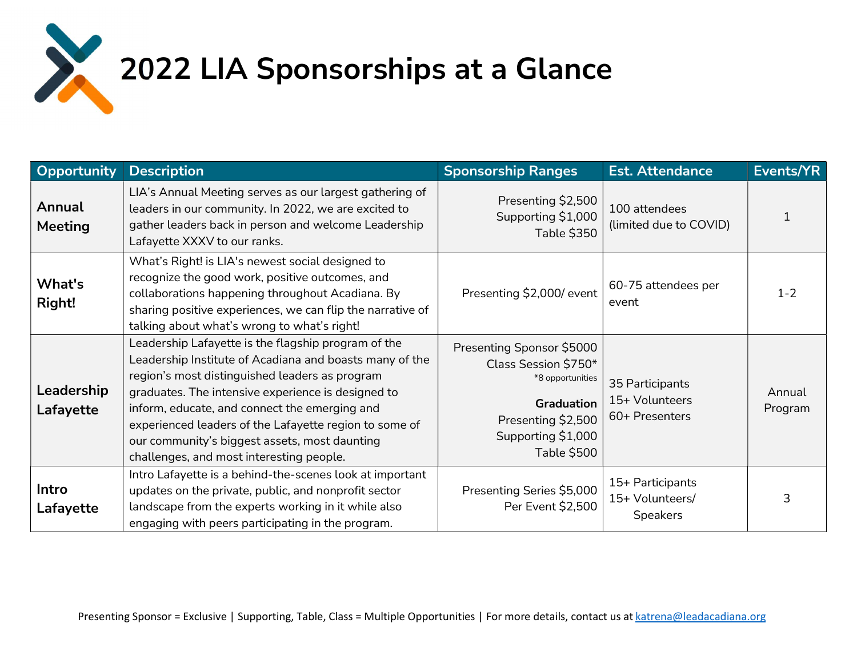

## 2022 LIA Sponsorships at a Glance

| Opportunity             | <b>Description</b>                                                                                                                                                                                                                                                                                                                                                                                                             | <b>Sponsorship Ranges</b>                                                                                                                             | <b>Est. Attendance</b>                                 | Events/YR         |
|-------------------------|--------------------------------------------------------------------------------------------------------------------------------------------------------------------------------------------------------------------------------------------------------------------------------------------------------------------------------------------------------------------------------------------------------------------------------|-------------------------------------------------------------------------------------------------------------------------------------------------------|--------------------------------------------------------|-------------------|
| Annual<br>Meeting       | LIA's Annual Meeting serves as our largest gathering of<br>leaders in our community. In 2022, we are excited to<br>gather leaders back in person and welcome Leadership<br>Lafayette XXXV to our ranks.                                                                                                                                                                                                                        | Presenting \$2,500<br>Supporting \$1,000<br><b>Table \$350</b>                                                                                        | 100 attendees<br>(limited due to COVID)                |                   |
| What's<br>Right!        | What's Right! is LIA's newest social designed to<br>recognize the good work, positive outcomes, and<br>collaborations happening throughout Acadiana. By<br>sharing positive experiences, we can flip the narrative of<br>talking about what's wrong to what's right!                                                                                                                                                           | Presenting \$2,000/ event                                                                                                                             | 60-75 attendees per<br>event                           | $1 - 2$           |
| Leadership<br>Lafayette | Leadership Lafayette is the flagship program of the<br>Leadership Institute of Acadiana and boasts many of the<br>region's most distinguished leaders as program<br>graduates. The intensive experience is designed to<br>inform, educate, and connect the emerging and<br>experienced leaders of the Lafayette region to some of<br>our community's biggest assets, most daunting<br>challenges, and most interesting people. | Presenting Sponsor \$5000<br>Class Session \$750*<br>*8 opportunities<br><b>Graduation</b><br>Presenting \$2,500<br>Supporting \$1,000<br>Table \$500 | 35 Participants<br>15+ Volunteers<br>60+ Presenters    | Annual<br>Program |
| Intro<br>Lafayette      | Intro Lafayette is a behind-the-scenes look at important<br>updates on the private, public, and nonprofit sector<br>landscape from the experts working in it while also<br>engaging with peers participating in the program.                                                                                                                                                                                                   | Presenting Series \$5,000<br>Per Event \$2,500                                                                                                        | 15+ Participants<br>15+ Volunteers/<br><b>Speakers</b> | 3                 |